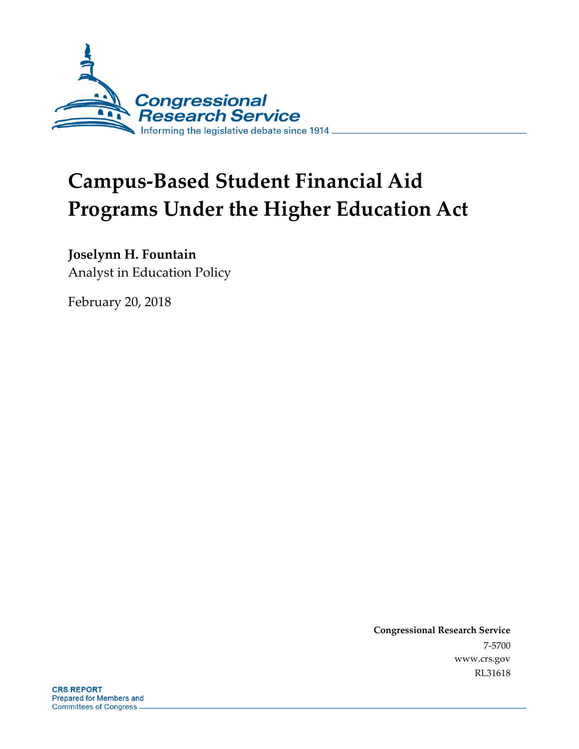

# **Campus-Based Student Financial Aid Programs Under the Higher Education Act**

## **Joselynn H. Fountain**

Analyst in Education Policy

February 20, 2018

**Congressional Research Service** 7-5700 www.crs.gov RL31618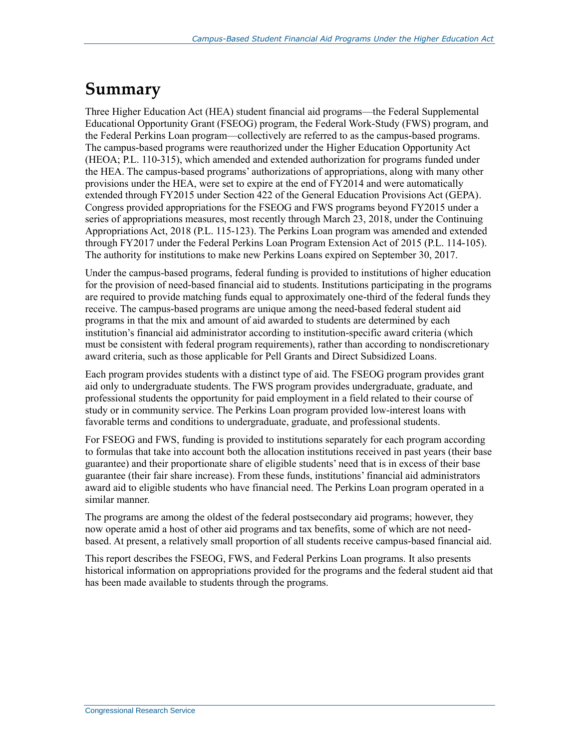## **Summary**

Three Higher Education Act (HEA) student financial aid programs—the Federal Supplemental Educational Opportunity Grant (FSEOG) program, the Federal Work-Study (FWS) program, and the Federal Perkins Loan program—collectively are referred to as the campus-based programs. The campus-based programs were reauthorized under the Higher Education Opportunity Act (HEOA; P.L. 110-315), which amended and extended authorization for programs funded under the HEA. The campus-based programs' authorizations of appropriations, along with many other provisions under the HEA, were set to expire at the end of FY2014 and were automatically extended through FY2015 under Section 422 of the General Education Provisions Act (GEPA). Congress provided appropriations for the FSEOG and FWS programs beyond FY2015 under a series of appropriations measures, most recently through March 23, 2018, under the Continuing Appropriations Act, 2018 (P.L. 115-123). The Perkins Loan program was amended and extended through FY2017 under the Federal Perkins Loan Program Extension Act of 2015 (P.L. 114-105). The authority for institutions to make new Perkins Loans expired on September 30, 2017.

Under the campus-based programs, federal funding is provided to institutions of higher education for the provision of need-based financial aid to students. Institutions participating in the programs are required to provide matching funds equal to approximately one-third of the federal funds they receive. The campus-based programs are unique among the need-based federal student aid programs in that the mix and amount of aid awarded to students are determined by each institution's financial aid administrator according to institution-specific award criteria (which must be consistent with federal program requirements), rather than according to nondiscretionary award criteria, such as those applicable for Pell Grants and Direct Subsidized Loans.

Each program provides students with a distinct type of aid. The FSEOG program provides grant aid only to undergraduate students. The FWS program provides undergraduate, graduate, and professional students the opportunity for paid employment in a field related to their course of study or in community service. The Perkins Loan program provided low-interest loans with favorable terms and conditions to undergraduate, graduate, and professional students.

For FSEOG and FWS, funding is provided to institutions separately for each program according to formulas that take into account both the allocation institutions received in past years (their base guarantee) and their proportionate share of eligible students' need that is in excess of their base guarantee (their fair share increase). From these funds, institutions' financial aid administrators award aid to eligible students who have financial need. The Perkins Loan program operated in a similar manner.

The programs are among the oldest of the federal postsecondary aid programs; however, they now operate amid a host of other aid programs and tax benefits, some of which are not needbased. At present, a relatively small proportion of all students receive campus-based financial aid.

This report describes the FSEOG, FWS, and Federal Perkins Loan programs. It also presents historical information on appropriations provided for the programs and the federal student aid that has been made available to students through the programs.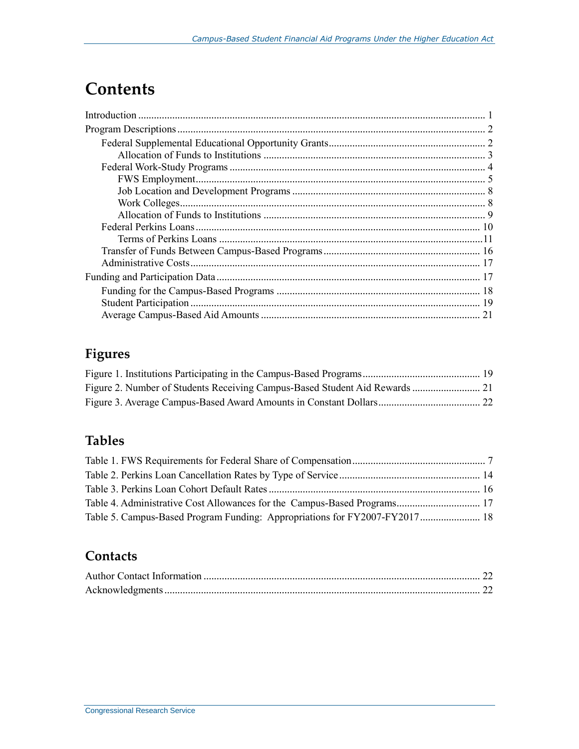## **Contents**

## **Figures**

### **Tables**

| Table 5. Campus-Based Program Funding: Appropriations for FY2007-FY2017 18 |  |
|----------------------------------------------------------------------------|--|

### **Contacts**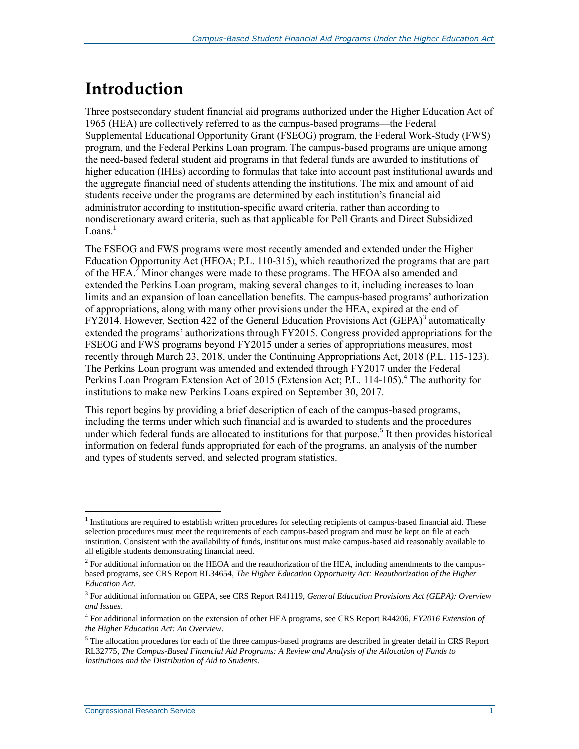## **Introduction**

Three postsecondary student financial aid programs authorized under the Higher Education Act of 1965 (HEA) are collectively referred to as the campus-based programs—the Federal Supplemental Educational Opportunity Grant (FSEOG) program, the Federal Work-Study (FWS) program, and the Federal Perkins Loan program. The campus-based programs are unique among the need-based federal student aid programs in that federal funds are awarded to institutions of higher education (IHEs) according to formulas that take into account past institutional awards and the aggregate financial need of students attending the institutions. The mix and amount of aid students receive under the programs are determined by each institution's financial aid administrator according to institution-specific award criteria, rather than according to nondiscretionary award criteria, such as that applicable for Pell Grants and Direct Subsidized  $Loans.<sup>1</sup>$ 

The FSEOG and FWS programs were most recently amended and extended under the Higher Education Opportunity Act (HEOA; P.L. 110-315), which reauthorized the programs that are part of the HEA.<sup>2</sup> Minor changes were made to these programs. The HEOA also amended and extended the Perkins Loan program, making several changes to it, including increases to loan limits and an expansion of loan cancellation benefits. The campus-based programs' authorization of appropriations, along with many other provisions under the HEA, expired at the end of FY2014. However, Section 422 of the General Education Provisions Act (GEPA)<sup>3</sup> automatically extended the programs' authorizations through FY2015. Congress provided appropriations for the FSEOG and FWS programs beyond FY2015 under a series of appropriations measures, most recently through March 23, 2018, under the Continuing Appropriations Act, 2018 (P.L. 115-123). The Perkins Loan program was amended and extended through FY2017 under the Federal Perkins Loan Program Extension Act of 2015 (Extension Act; P.L. 114-105).<sup>4</sup> The authority for institutions to make new Perkins Loans expired on September 30, 2017.

This report begins by providing a brief description of each of the campus-based programs, including the terms under which such financial aid is awarded to students and the procedures under which federal funds are allocated to institutions for that purpose.<sup>5</sup> It then provides historical information on federal funds appropriated for each of the programs, an analysis of the number and types of students served, and selected program statistics.

<sup>&</sup>lt;sup>1</sup> Institutions are required to establish written procedures for selecting recipients of campus-based financial aid. These selection procedures must meet the requirements of each campus-based program and must be kept on file at each institution. Consistent with the availability of funds, institutions must make campus-based aid reasonably available to all eligible students demonstrating financial need.

 $<sup>2</sup>$  For additional information on the HEOA and the reauthorization of the HEA, including amendments to the campus-</sup> based programs, see CRS Report RL34654, *The Higher Education Opportunity Act: Reauthorization of the Higher Education Act*.

<sup>3</sup> For additional information on GEPA, see CRS Report R41119, *General Education Provisions Act (GEPA): Overview and Issues*.

<sup>4</sup> For additional information on the extension of other HEA programs, see CRS Report R44206, *FY2016 Extension of the Higher Education Act: An Overview*.

<sup>&</sup>lt;sup>5</sup> The allocation procedures for each of the three campus-based programs are described in greater detail in CRS Report RL32775, *The Campus-Based Financial Aid Programs: A Review and Analysis of the Allocation of Funds to Institutions and the Distribution of Aid to Students*.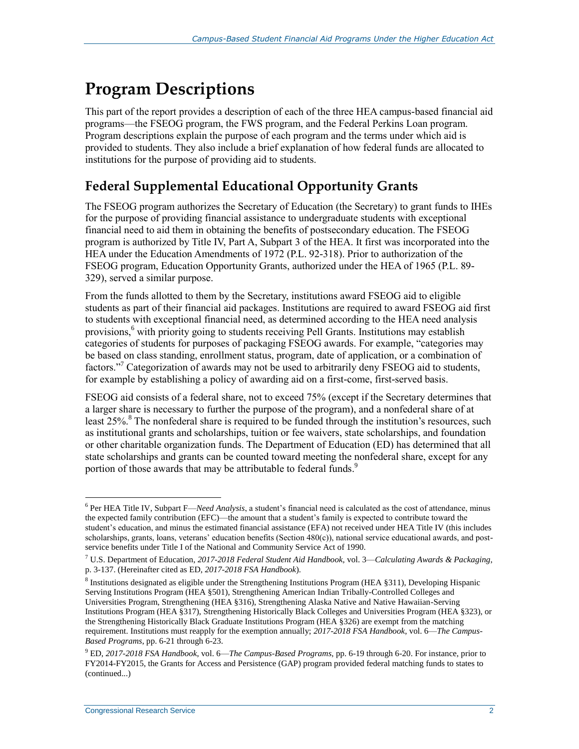## **Program Descriptions**

This part of the report provides a description of each of the three HEA campus-based financial aid programs—the FSEOG program, the FWS program, and the Federal Perkins Loan program. Program descriptions explain the purpose of each program and the terms under which aid is provided to students. They also include a brief explanation of how federal funds are allocated to institutions for the purpose of providing aid to students.

### **Federal Supplemental Educational Opportunity Grants**

The FSEOG program authorizes the Secretary of Education (the Secretary) to grant funds to IHEs for the purpose of providing financial assistance to undergraduate students with exceptional financial need to aid them in obtaining the benefits of postsecondary education. The FSEOG program is authorized by Title IV, Part A, Subpart 3 of the HEA. It first was incorporated into the HEA under the Education Amendments of 1972 (P.L. 92-318). Prior to authorization of the FSEOG program, Education Opportunity Grants, authorized under the HEA of 1965 (P.L. 89- 329), served a similar purpose.

From the funds allotted to them by the Secretary, institutions award FSEOG aid to eligible students as part of their financial aid packages. Institutions are required to award FSEOG aid first to students with exceptional financial need, as determined according to the HEA need analysis provisions,<sup>6</sup> with priority going to students receiving Pell Grants. Institutions may establish categories of students for purposes of packaging FSEOG awards. For example, "categories may be based on class standing, enrollment status, program, date of application, or a combination of factors."<sup>7</sup> Categorization of awards may not be used to arbitrarily deny FSEOG aid to students, for example by establishing a policy of awarding aid on a first-come, first-served basis.

FSEOG aid consists of a federal share, not to exceed 75% (except if the Secretary determines that a larger share is necessary to further the purpose of the program), and a nonfederal share of at least 25%.<sup>8</sup> The nonfederal share is required to be funded through the institution's resources, such as institutional grants and scholarships, tuition or fee waivers, state scholarships, and foundation or other charitable organization funds. The Department of Education (ED) has determined that all state scholarships and grants can be counted toward meeting the nonfederal share, except for any portion of those awards that may be attributable to federal funds.<sup>9</sup>

<sup>6</sup> Per HEA Title IV, Subpart F—*Need Analysis*, a student's financial need is calculated as the cost of attendance, minus the expected family contribution (EFC)—the amount that a student's family is expected to contribute toward the student's education, and minus the estimated financial assistance (EFA) not received under HEA Title IV (this includes scholarships, grants, loans, veterans' education benefits (Section 480(c)), national service educational awards, and postservice benefits under Title I of the National and Community Service Act of 1990.

<sup>7</sup> U.S. Department of Education, *2017-2018 Federal Student Aid Handbook,* vol. 3—*Calculating Awards & Packaging*, p. 3-137. (Hereinafter cited as ED, *2017-2018 FSA Handbook*).

<sup>8</sup> Institutions designated as eligible under the Strengthening Institutions Program (HEA §311), Developing Hispanic Serving Institutions Program (HEA §501), Strengthening American Indian Tribally-Controlled Colleges and Universities Program, Strengthening (HEA §316), Strengthening Alaska Native and Native Hawaiian-Serving Institutions Program (HEA §317), Strengthening Historically Black Colleges and Universities Program (HEA §323), or the Strengthening Historically Black Graduate Institutions Program (HEA §326) are exempt from the matching requirement. Institutions must reapply for the exemption annually; *2017-2018 FSA Handbook*, vol. 6—*The Campus-Based Programs*, pp. 6-21 through 6-23.

<sup>9</sup> ED, *2017-2018 FSA Handbook*, vol. 6—*The Campus-Based Programs*, pp. 6-19 through 6-20. For instance, prior to FY2014-FY2015, the Grants for Access and Persistence (GAP) program provided federal matching funds to states to (continued...)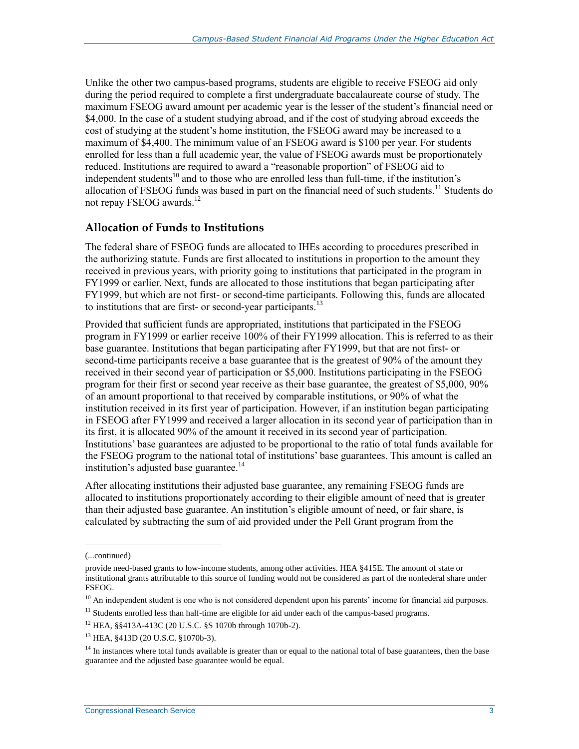Unlike the other two campus-based programs, students are eligible to receive FSEOG aid only during the period required to complete a first undergraduate baccalaureate course of study. The maximum FSEOG award amount per academic year is the lesser of the student's financial need or \$4,000. In the case of a student studying abroad, and if the cost of studying abroad exceeds the cost of studying at the student's home institution, the FSEOG award may be increased to a maximum of \$4,400. The minimum value of an FSEOG award is \$100 per year. For students enrolled for less than a full academic year, the value of FSEOG awards must be proportionately reduced. Institutions are required to award a "reasonable proportion" of FSEOG aid to independent students<sup>10</sup> and to those who are enrolled less than full-time, if the institution's allocation of FSEOG funds was based in part on the financial need of such students.<sup>11</sup> Students do not repay FSEOG awards.<sup>12</sup>

#### **Allocation of Funds to Institutions**

The federal share of FSEOG funds are allocated to IHEs according to procedures prescribed in the authorizing statute. Funds are first allocated to institutions in proportion to the amount they received in previous years, with priority going to institutions that participated in the program in FY1999 or earlier. Next, funds are allocated to those institutions that began participating after FY1999, but which are not first- or second-time participants. Following this, funds are allocated to institutions that are first- or second-year participants.<sup>13</sup>

Provided that sufficient funds are appropriated, institutions that participated in the FSEOG program in FY1999 or earlier receive 100% of their FY1999 allocation. This is referred to as their base guarantee. Institutions that began participating after FY1999, but that are not first- or second-time participants receive a base guarantee that is the greatest of 90% of the amount they received in their second year of participation or \$5,000. Institutions participating in the FSEOG program for their first or second year receive as their base guarantee, the greatest of \$5,000, 90% of an amount proportional to that received by comparable institutions, or 90% of what the institution received in its first year of participation. However, if an institution began participating in FSEOG after FY1999 and received a larger allocation in its second year of participation than in its first, it is allocated 90% of the amount it received in its second year of participation. Institutions' base guarantees are adjusted to be proportional to the ratio of total funds available for the FSEOG program to the national total of institutions' base guarantees. This amount is called an institution's adjusted base guarantee. $^{14}$ 

After allocating institutions their adjusted base guarantee, any remaining FSEOG funds are allocated to institutions proportionately according to their eligible amount of need that is greater than their adjusted base guarantee. An institution's eligible amount of need, or fair share, is calculated by subtracting the sum of aid provided under the Pell Grant program from the

<sup>(...</sup>continued)

provide need-based grants to low-income students, among other activities. HEA §415E. The amount of state or institutional grants attributable to this source of funding would not be considered as part of the nonfederal share under FSEOG.

 $10$  An independent student is one who is not considered dependent upon his parents' income for financial aid purposes.

 $11$  Students enrolled less than half-time are eligible for aid under each of the campus-based programs.

<sup>12</sup> HEA, §§413A-413C (20 U.S.C. §S 1070b through 1070b-2).

<sup>13</sup> HEA, §413D (20 U.S.C. §1070b-3).

<sup>&</sup>lt;sup>14</sup> In instances where total funds available is greater than or equal to the national total of base guarantees, then the base guarantee and the adjusted base guarantee would be equal.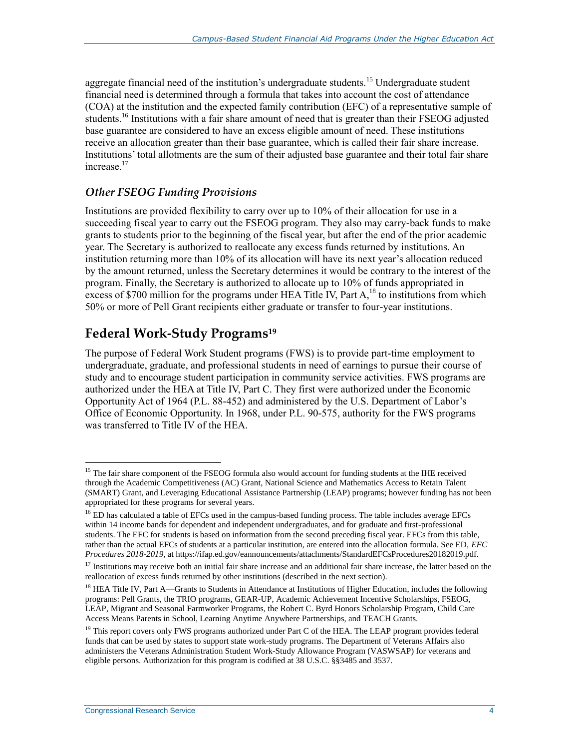aggregate financial need of the institution's undergraduate students.<sup>15</sup> Undergraduate student financial need is determined through a formula that takes into account the cost of attendance (COA) at the institution and the expected family contribution (EFC) of a representative sample of students.<sup>16</sup> Institutions with a fair share amount of need that is greater than their FSEOG adjusted base guarantee are considered to have an excess eligible amount of need. These institutions receive an allocation greater than their base guarantee, which is called their fair share increase. Institutions' total allotments are the sum of their adjusted base guarantee and their total fair share increase.<sup>17</sup>

#### *Other FSEOG Funding Provisions*

Institutions are provided flexibility to carry over up to 10% of their allocation for use in a succeeding fiscal year to carry out the FSEOG program. They also may carry-back funds to make grants to students prior to the beginning of the fiscal year, but after the end of the prior academic year. The Secretary is authorized to reallocate any excess funds returned by institutions. An institution returning more than 10% of its allocation will have its next year's allocation reduced by the amount returned, unless the Secretary determines it would be contrary to the interest of the program. Finally, the Secretary is authorized to allocate up to 10% of funds appropriated in excess of \$700 million for the programs under HEA Title IV, Part  $A<sub>18</sub>$  to institutions from which 50% or more of Pell Grant recipients either graduate or transfer to four-year institutions.

### **Federal Work-Study Programs<sup>19</sup>**

The purpose of Federal Work Student programs (FWS) is to provide part-time employment to undergraduate, graduate, and professional students in need of earnings to pursue their course of study and to encourage student participation in community service activities. FWS programs are authorized under the HEA at Title IV, Part C. They first were authorized under the Economic Opportunity Act of 1964 (P.L. 88-452) and administered by the U.S. Department of Labor's Office of Economic Opportunity. In 1968, under P.L. 90-575, authority for the FWS programs was transferred to Title IV of the HEA.

<sup>&</sup>lt;sup>15</sup> The fair share component of the FSEOG formula also would account for funding students at the IHE received through the Academic Competitiveness (AC) Grant, National Science and Mathematics Access to Retain Talent (SMART) Grant, and Leveraging Educational Assistance Partnership (LEAP) programs; however funding has not been appropriated for these programs for several years.

<sup>&</sup>lt;sup>16</sup> ED has calculated a table of EFCs used in the campus-based funding process. The table includes average EFCs within 14 income bands for dependent and independent undergraduates, and for graduate and first-professional students. The EFC for students is based on information from the second preceding fiscal year. EFCs from this table, rather than the actual EFCs of students at a particular institution, are entered into the allocation formula. See ED, *EFC Procedures 2018-2019*, at https://ifap.ed.gov/eannouncements/attachments/StandardEFCsProcedures20182019.pdf.

 $17$  Institutions may receive both an initial fair share increase and an additional fair share increase, the latter based on the reallocation of excess funds returned by other institutions (described in the next section).

<sup>&</sup>lt;sup>18</sup> HEA Title IV, Part A—Grants to Students in Attendance at Institutions of Higher Education, includes the following programs: Pell Grants, the TRIO programs, GEAR-UP, Academic Achievement Incentive Scholarships, FSEOG, LEAP, Migrant and Seasonal Farmworker Programs, the Robert C. Byrd Honors Scholarship Program, Child Care Access Means Parents in School, Learning Anytime Anywhere Partnerships, and TEACH Grants.

<sup>&</sup>lt;sup>19</sup> This report covers only FWS programs authorized under Part C of the HEA. The LEAP program provides federal funds that can be used by states to support state work-study programs. The Department of Veterans Affairs also administers the Veterans Administration Student Work-Study Allowance Program (VASWSAP) for veterans and eligible persons. Authorization for this program is codified at 38 U.S.C. §§3485 and 3537.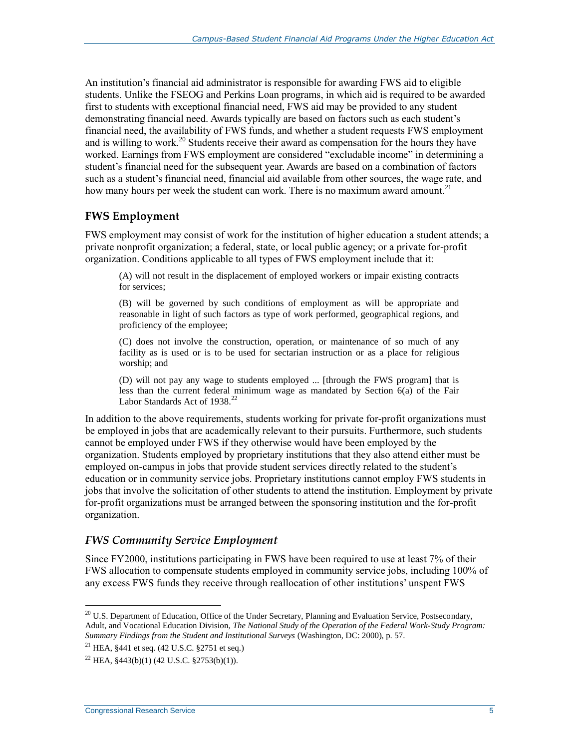An institution's financial aid administrator is responsible for awarding FWS aid to eligible students. Unlike the FSEOG and Perkins Loan programs, in which aid is required to be awarded first to students with exceptional financial need, FWS aid may be provided to any student demonstrating financial need. Awards typically are based on factors such as each student's financial need, the availability of FWS funds, and whether a student requests FWS employment and is willing to work.<sup>20</sup> Students receive their award as compensation for the hours they have worked. Earnings from FWS employment are considered "excludable income" in determining a student's financial need for the subsequent year. Awards are based on a combination of factors such as a student's financial need, financial aid available from other sources, the wage rate, and how many hours per week the student can work. There is no maximum award amount.<sup>21</sup>

#### **FWS Employment**

FWS employment may consist of work for the institution of higher education a student attends; a private nonprofit organization; a federal, state, or local public agency; or a private for-profit organization. Conditions applicable to all types of FWS employment include that it:

(A) will not result in the displacement of employed workers or impair existing contracts for services;

(B) will be governed by such conditions of employment as will be appropriate and reasonable in light of such factors as type of work performed, geographical regions, and proficiency of the employee;

(C) does not involve the construction, operation, or maintenance of so much of any facility as is used or is to be used for sectarian instruction or as a place for religious worship; and

(D) will not pay any wage to students employed ... [through the FWS program] that is less than the current federal minimum wage as mandated by Section 6(a) of the Fair Labor Standards Act of 1938.<sup>22</sup>

In addition to the above requirements, students working for private for-profit organizations must be employed in jobs that are academically relevant to their pursuits. Furthermore, such students cannot be employed under FWS if they otherwise would have been employed by the organization. Students employed by proprietary institutions that they also attend either must be employed on-campus in jobs that provide student services directly related to the student's education or in community service jobs. Proprietary institutions cannot employ FWS students in jobs that involve the solicitation of other students to attend the institution. Employment by private for-profit organizations must be arranged between the sponsoring institution and the for-profit organization.

#### *FWS Community Service Employment*

Since FY2000, institutions participating in FWS have been required to use at least 7% of their FWS allocation to compensate students employed in community service jobs, including 100% of any excess FWS funds they receive through reallocation of other institutions' unspent FWS

<sup>&</sup>lt;sup>20</sup> U.S. Department of Education, Office of the Under Secretary, Planning and Evaluation Service, Postsecondary, Adult, and Vocational Education Division, *The National Study of the Operation of the Federal Work-Study Program: Summary Findings from the Student and Institutional Surveys* (Washington, DC: 2000), p. 57.

<sup>&</sup>lt;sup>21</sup> HEA, §441 et seq.  $(42 \text{ U.S.C. }$ §2751 et seq.)

 $^{22}$  HEA,  $\frac{$443(b)(1)(42 \text{ U.S.C. } $2753(b)(1))}{22}$ .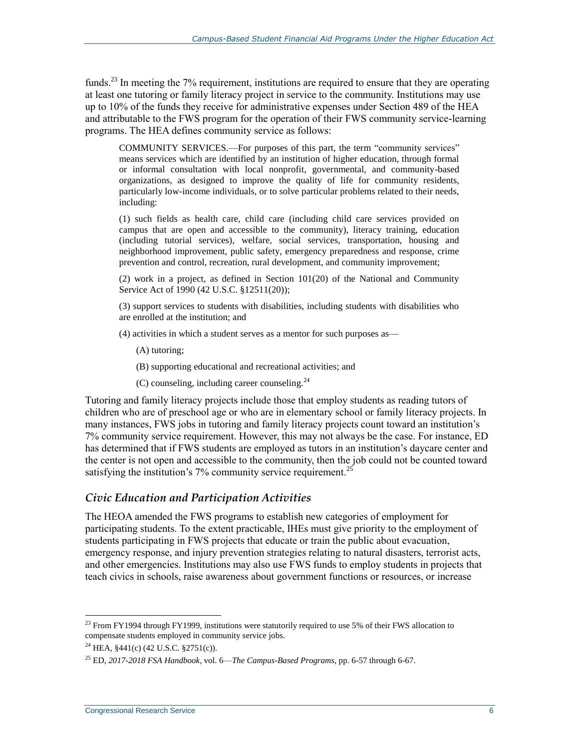funds.<sup>23</sup> In meeting the 7% requirement, institutions are required to ensure that they are operating at least one tutoring or family literacy project in service to the community. Institutions may use up to 10% of the funds they receive for administrative expenses under Section 489 of the HEA and attributable to the FWS program for the operation of their FWS community service-learning programs. The HEA defines community service as follows:

COMMUNITY SERVICES.—For purposes of this part, the term "community services" means services which are identified by an institution of higher education, through formal or informal consultation with local nonprofit, governmental, and community-based organizations, as designed to improve the quality of life for community residents, particularly low-income individuals, or to solve particular problems related to their needs, including:

(1) such fields as health care, child care (including child care services provided on campus that are open and accessible to the community), literacy training, education (including tutorial services), welfare, social services, transportation, housing and neighborhood improvement, public safety, emergency preparedness and response, crime prevention and control, recreation, rural development, and community improvement;

(2) work in a project, as defined in Section 101(20) of the National and Community Service Act of 1990 (42 U.S.C. §12511(20));

(3) support services to students with disabilities, including students with disabilities who are enrolled at the institution; and

- (4) activities in which a student serves as a mentor for such purposes as—
	- (A) tutoring;
	- (B) supporting educational and recreational activities; and
	- (C) counseling, including career counseling. $^{24}$

Tutoring and family literacy projects include those that employ students as reading tutors of children who are of preschool age or who are in elementary school or family literacy projects. In many instances, FWS jobs in tutoring and family literacy projects count toward an institution's 7% community service requirement. However, this may not always be the case. For instance, ED has determined that if FWS students are employed as tutors in an institution's daycare center and the center is not open and accessible to the community, then the job could not be counted toward satisfying the institution's  $7\%$  community service requirement.<sup>25</sup>

#### *Civic Education and Participation Activities*

The HEOA amended the FWS programs to establish new categories of employment for participating students. To the extent practicable, IHEs must give priority to the employment of students participating in FWS projects that educate or train the public about evacuation, emergency response, and injury prevention strategies relating to natural disasters, terrorist acts, and other emergencies. Institutions may also use FWS funds to employ students in projects that teach civics in schools, raise awareness about government functions or resources, or increase

<sup>&</sup>lt;sup>23</sup> From FY1994 through FY1999, institutions were statutorily required to use 5% of their FWS allocation to compensate students employed in community service jobs.

<sup>&</sup>lt;sup>24</sup> HEA,  $§441(c)$  (42 U.S.C.  $§2751(c)$ ).

<sup>25</sup> ED, *2017-2018 FSA Handbook*, vol. 6—*The Campus-Based Programs*, pp. 6-57 through 6-67.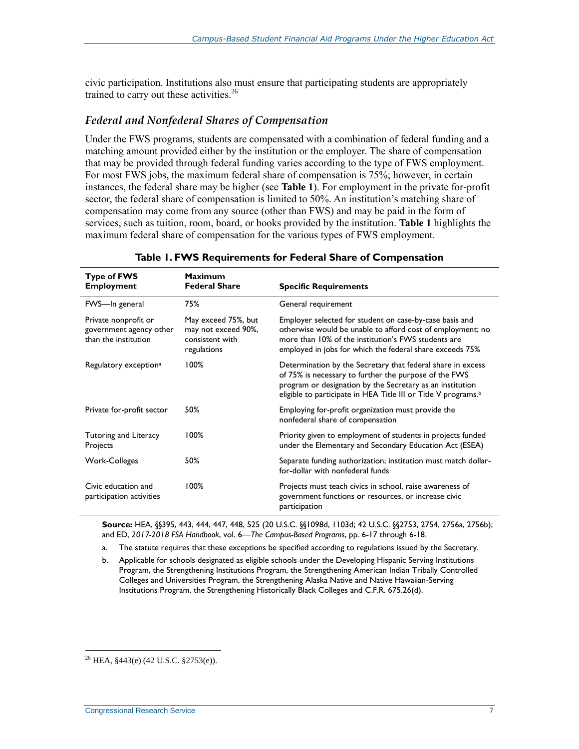civic participation. Institutions also must ensure that participating students are appropriately trained to carry out these activities.<sup>26</sup>

#### *Federal and Nonfederal Shares of Compensation*

Under the FWS programs, students are compensated with a combination of federal funding and a matching amount provided either by the institution or the employer. The share of compensation that may be provided through federal funding varies according to the type of FWS employment. For most FWS jobs, the maximum federal share of compensation is 75%; however, in certain instances, the federal share may be higher (see **[Table 1](#page-9-0)**). For employment in the private for-profit sector, the federal share of compensation is limited to 50%. An institution's matching share of compensation may come from any source (other than FWS) and may be paid in the form of services, such as tuition, room, board, or books provided by the institution. **[Table 1](#page-9-0)** highlights the maximum federal share of compensation for the various types of FWS employment.

<span id="page-9-0"></span>

| <b>Type of FWS</b><br><b>Employment</b>                                 | Maximum<br><b>Federal Share</b>                                              | <b>Specific Requirements</b>                                                                                                                                                                                                                                    |
|-------------------------------------------------------------------------|------------------------------------------------------------------------------|-----------------------------------------------------------------------------------------------------------------------------------------------------------------------------------------------------------------------------------------------------------------|
| FWS-In general                                                          | 75%                                                                          | General requirement                                                                                                                                                                                                                                             |
| Private nonprofit or<br>government agency other<br>than the institution | May exceed 75%, but<br>may not exceed 90%,<br>consistent with<br>regulations | Employer selected for student on case-by-case basis and<br>otherwise would be unable to afford cost of employment; no<br>more than 10% of the institution's FWS students are<br>employed in jobs for which the federal share exceeds 75%                        |
| Regulatory exception <sup>a</sup>                                       | 100%                                                                         | Determination by the Secretary that federal share in excess<br>of 75% is necessary to further the purpose of the FWS<br>program or designation by the Secretary as an institution<br>eligible to participate in HEA Title III or Title V programs. <sup>b</sup> |
| Private for-profit sector                                               | 50%                                                                          | Employing for-profit organization must provide the<br>nonfederal share of compensation                                                                                                                                                                          |
| Tutoring and Literacy<br>Projects                                       | 100%                                                                         | Priority given to employment of students in projects funded<br>under the Elementary and Secondary Education Act (ESEA)                                                                                                                                          |
| Work-Colleges                                                           | 50%                                                                          | Separate funding authorization; institution must match dollar-<br>for-dollar with nonfederal funds                                                                                                                                                              |
| Civic education and<br>participation activities                         | 100%                                                                         | Projects must teach civics in school, raise awareness of<br>government functions or resources, or increase civic<br>participation                                                                                                                               |

**Table 1. FWS Requirements for Federal Share of Compensation**

**Source:** HEA, §§395, 443, 444, 447, 448, 525 (20 U.S.C. §§1098d, 1103d; 42 U.S.C. §§2753, 2754, 2756a, 2756b); and ED, *2017-2018 FSA Handbook*, vol. 6—*The Campus-Based Programs*, pp. 6-17 through 6-18.

<span id="page-9-1"></span>a. The statute requires that these exceptions be specified according to regulations issued by the Secretary.

<span id="page-9-2"></span>b. Applicable for schools designated as eligible schools under the Developing Hispanic Serving Institutions Program, the Strengthening Institutions Program, the Strengthening American Indian Tribally Controlled Colleges and Universities Program, the Strengthening Alaska Native and Native Hawaiian-Serving Institutions Program, the Strengthening Historically Black Colleges and C.F.R. 675.26(d).

 $^{26}$  HEA,  $$443(e)$  (42 U.S.C.  $$2753(e)$ ).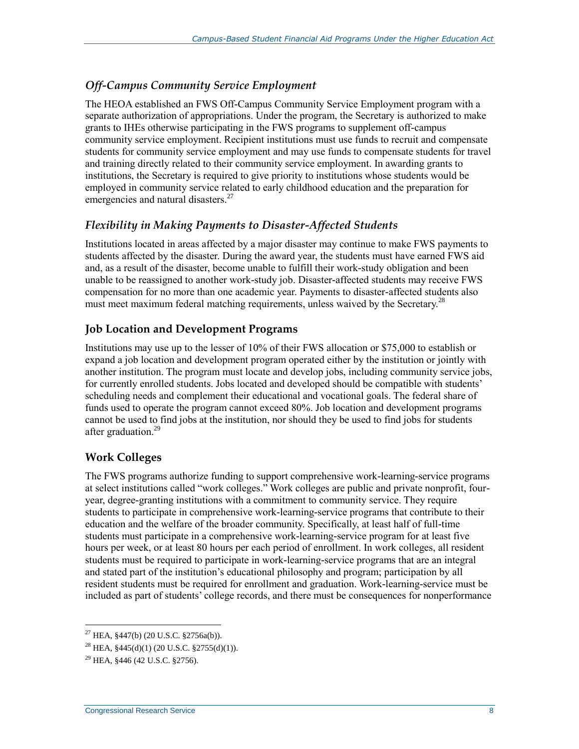#### *Off-Campus Community Service Employment*

The HEOA established an FWS Off-Campus Community Service Employment program with a separate authorization of appropriations. Under the program, the Secretary is authorized to make grants to IHEs otherwise participating in the FWS programs to supplement off-campus community service employment. Recipient institutions must use funds to recruit and compensate students for community service employment and may use funds to compensate students for travel and training directly related to their community service employment. In awarding grants to institutions, the Secretary is required to give priority to institutions whose students would be employed in community service related to early childhood education and the preparation for emergencies and natural disasters.<sup>27</sup>

#### *Flexibility in Making Payments to Disaster-Affected Students*

Institutions located in areas affected by a major disaster may continue to make FWS payments to students affected by the disaster. During the award year, the students must have earned FWS aid and, as a result of the disaster, become unable to fulfill their work-study obligation and been unable to be reassigned to another work-study job. Disaster-affected students may receive FWS compensation for no more than one academic year. Payments to disaster-affected students also must meet maximum federal matching requirements, unless waived by the Secretary.<sup>28</sup>

#### **Job Location and Development Programs**

Institutions may use up to the lesser of 10% of their FWS allocation or \$75,000 to establish or expand a job location and development program operated either by the institution or jointly with another institution. The program must locate and develop jobs, including community service jobs, for currently enrolled students. Jobs located and developed should be compatible with students' scheduling needs and complement their educational and vocational goals. The federal share of funds used to operate the program cannot exceed 80%. Job location and development programs cannot be used to find jobs at the institution, nor should they be used to find jobs for students after graduation.<sup>29</sup>

#### **Work Colleges**

The FWS programs authorize funding to support comprehensive work-learning-service programs at select institutions called "work colleges." Work colleges are public and private nonprofit, fouryear, degree-granting institutions with a commitment to community service. They require students to participate in comprehensive work-learning-service programs that contribute to their education and the welfare of the broader community. Specifically, at least half of full-time students must participate in a comprehensive work-learning-service program for at least five hours per week, or at least 80 hours per each period of enrollment. In work colleges, all resident students must be required to participate in work-learning-service programs that are an integral and stated part of the institution's educational philosophy and program; participation by all resident students must be required for enrollment and graduation. Work-learning-service must be included as part of students' college records, and there must be consequences for nonperformance

<sup>27</sup> HEA, §447(b) (20 U.S.C. §2756a(b)).

<sup>28</sup> HEA, §445(d)(1) (20 U.S.C. §2755(d)(1)).

 $^{29}$  HEA, §446 (42 U.S.C. §2756).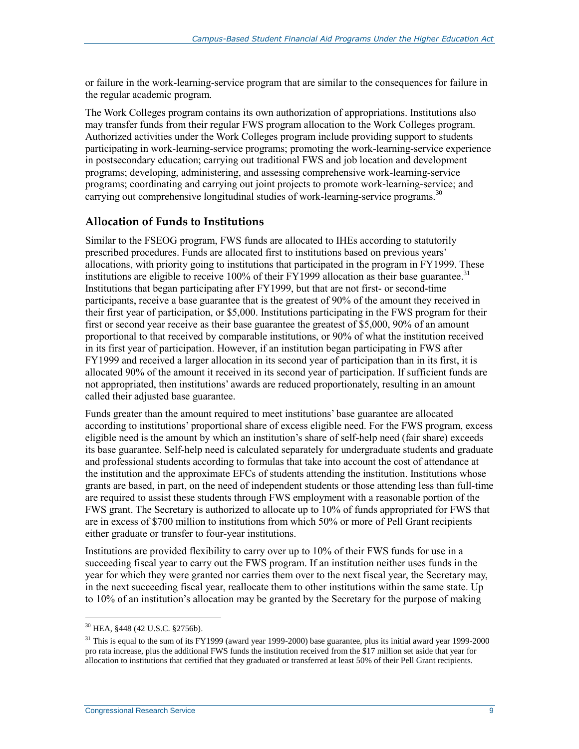or failure in the work-learning-service program that are similar to the consequences for failure in the regular academic program.

The Work Colleges program contains its own authorization of appropriations. Institutions also may transfer funds from their regular FWS program allocation to the Work Colleges program. Authorized activities under the Work Colleges program include providing support to students participating in work-learning-service programs; promoting the work-learning-service experience in postsecondary education; carrying out traditional FWS and job location and development programs; developing, administering, and assessing comprehensive work-learning-service programs; coordinating and carrying out joint projects to promote work-learning-service; and carrying out comprehensive longitudinal studies of work-learning-service programs.<sup>30</sup>

#### **Allocation of Funds to Institutions**

Similar to the FSEOG program, FWS funds are allocated to IHEs according to statutorily prescribed procedures. Funds are allocated first to institutions based on previous years' allocations, with priority going to institutions that participated in the program in FY1999. These institutions are eligible to receive 100% of their FY1999 allocation as their base guarantee.<sup>31</sup> Institutions that began participating after FY1999, but that are not first- or second-time participants, receive a base guarantee that is the greatest of 90% of the amount they received in their first year of participation, or \$5,000. Institutions participating in the FWS program for their first or second year receive as their base guarantee the greatest of \$5,000, 90% of an amount proportional to that received by comparable institutions, or 90% of what the institution received in its first year of participation. However, if an institution began participating in FWS after FY1999 and received a larger allocation in its second year of participation than in its first, it is allocated 90% of the amount it received in its second year of participation. If sufficient funds are not appropriated, then institutions' awards are reduced proportionately, resulting in an amount called their adjusted base guarantee.

Funds greater than the amount required to meet institutions' base guarantee are allocated according to institutions' proportional share of excess eligible need. For the FWS program, excess eligible need is the amount by which an institution's share of self-help need (fair share) exceeds its base guarantee. Self-help need is calculated separately for undergraduate students and graduate and professional students according to formulas that take into account the cost of attendance at the institution and the approximate EFCs of students attending the institution. Institutions whose grants are based, in part, on the need of independent students or those attending less than full-time are required to assist these students through FWS employment with a reasonable portion of the FWS grant. The Secretary is authorized to allocate up to 10% of funds appropriated for FWS that are in excess of \$700 million to institutions from which 50% or more of Pell Grant recipients either graduate or transfer to four-year institutions.

Institutions are provided flexibility to carry over up to 10% of their FWS funds for use in a succeeding fiscal year to carry out the FWS program. If an institution neither uses funds in the year for which they were granted nor carries them over to the next fiscal year, the Secretary may, in the next succeeding fiscal year, reallocate them to other institutions within the same state. Up to 10% of an institution's allocation may be granted by the Secretary for the purpose of making

<sup>30</sup> HEA, §448 (42 U.S.C. §2756b).

 $31$  This is equal to the sum of its FY1999 (award year 1999-2000) base guarantee, plus its initial award year 1999-2000 pro rata increase, plus the additional FWS funds the institution received from the \$17 million set aside that year for allocation to institutions that certified that they graduated or transferred at least 50% of their Pell Grant recipients.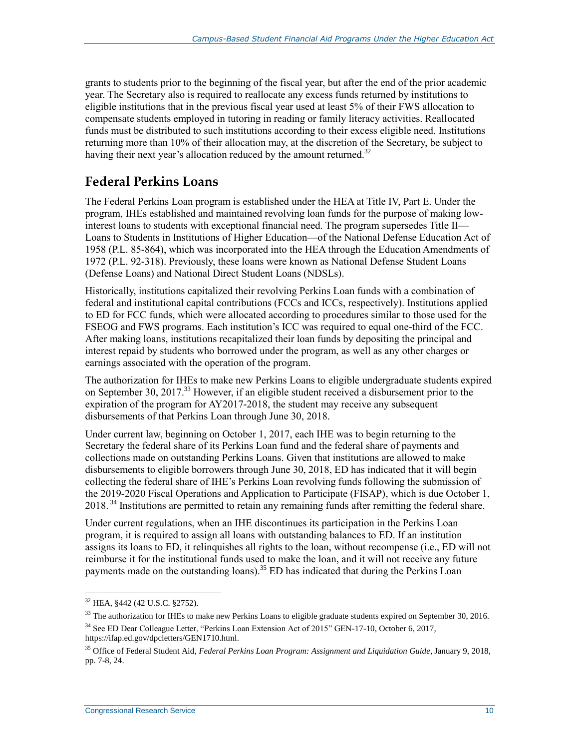grants to students prior to the beginning of the fiscal year, but after the end of the prior academic year. The Secretary also is required to reallocate any excess funds returned by institutions to eligible institutions that in the previous fiscal year used at least 5% of their FWS allocation to compensate students employed in tutoring in reading or family literacy activities. Reallocated funds must be distributed to such institutions according to their excess eligible need. Institutions returning more than 10% of their allocation may, at the discretion of the Secretary, be subject to having their next year's allocation reduced by the amount returned.<sup>32</sup>

### **Federal Perkins Loans**

The Federal Perkins Loan program is established under the HEA at Title IV, Part E. Under the program, IHEs established and maintained revolving loan funds for the purpose of making lowinterest loans to students with exceptional financial need. The program supersedes Title II— Loans to Students in Institutions of Higher Education—of the National Defense Education Act of 1958 (P.L. 85-864), which was incorporated into the HEA through the Education Amendments of 1972 (P.L. 92-318). Previously, these loans were known as National Defense Student Loans (Defense Loans) and National Direct Student Loans (NDSLs).

Historically, institutions capitalized their revolving Perkins Loan funds with a combination of federal and institutional capital contributions (FCCs and ICCs, respectively). Institutions applied to ED for FCC funds, which were allocated according to procedures similar to those used for the FSEOG and FWS programs. Each institution's ICC was required to equal one-third of the FCC. After making loans, institutions recapitalized their loan funds by depositing the principal and interest repaid by students who borrowed under the program, as well as any other charges or earnings associated with the operation of the program.

The authorization for IHEs to make new Perkins Loans to eligible undergraduate students expired on September 30, 2017.<sup>33</sup> However, if an eligible student received a disbursement prior to the expiration of the program for AY2017-2018, the student may receive any subsequent disbursements of that Perkins Loan through June 30, 2018.

Under current law, beginning on October 1, 2017, each IHE was to begin returning to the Secretary the federal share of its Perkins Loan fund and the federal share of payments and collections made on outstanding Perkins Loans. Given that institutions are allowed to make disbursements to eligible borrowers through June 30, 2018, ED has indicated that it will begin collecting the federal share of IHE's Perkins Loan revolving funds following the submission of the 2019-2020 Fiscal Operations and Application to Participate (FISAP), which is due October 1, 2018. <sup>34</sup> Institutions are permitted to retain any remaining funds after remitting the federal share.

Under current regulations, when an IHE discontinues its participation in the Perkins Loan program, it is required to assign all loans with outstanding balances to ED. If an institution assigns its loans to ED, it relinquishes all rights to the loan, without recompense (i.e., ED will not reimburse it for the institutional funds used to make the loan, and it will not receive any future payments made on the outstanding loans).<sup>35</sup> ED has indicated that during the Perkins Loan

<sup>&</sup>lt;sup>32</sup> HEA, §442 (42 U.S.C. §2752).

 $33$  The authorization for IHEs to make new Perkins Loans to eligible graduate students expired on September 30, 2016.

<sup>34</sup> See ED Dear Colleague Letter, "Perkins Loan Extension Act of 2015" GEN-17-10, October 6, 2017, https://ifap.ed.gov/dpcletters/GEN1710.html.

<sup>35</sup> Office of Federal Student Aid, *Federal Perkins Loan Program: Assignment and Liquidation Guide*, January 9, 2018, pp. 7-8, 24.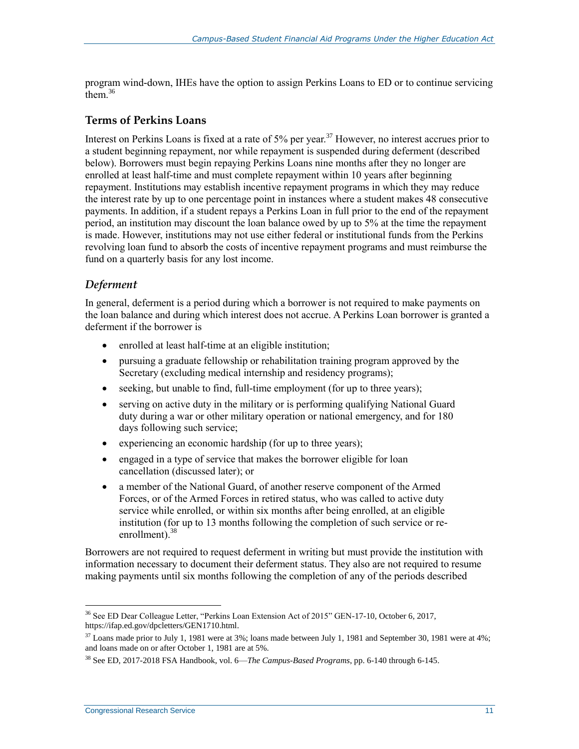program wind-down, IHEs have the option to assign Perkins Loans to ED or to continue servicing them.<sup>36</sup>

#### **Terms of Perkins Loans**

Interest on Perkins Loans is fixed at a rate of  $5\%$  per year.<sup>37</sup> However, no interest accrues prior to a student beginning repayment, nor while repayment is suspended during deferment (described below). Borrowers must begin repaying Perkins Loans nine months after they no longer are enrolled at least half-time and must complete repayment within 10 years after beginning repayment. Institutions may establish incentive repayment programs in which they may reduce the interest rate by up to one percentage point in instances where a student makes 48 consecutive payments. In addition, if a student repays a Perkins Loan in full prior to the end of the repayment period, an institution may discount the loan balance owed by up to 5% at the time the repayment is made. However, institutions may not use either federal or institutional funds from the Perkins revolving loan fund to absorb the costs of incentive repayment programs and must reimburse the fund on a quarterly basis for any lost income.

#### *Deferment*

In general, deferment is a period during which a borrower is not required to make payments on the loan balance and during which interest does not accrue. A Perkins Loan borrower is granted a deferment if the borrower is

- enrolled at least half-time at an eligible institution;
- pursuing a graduate fellowship or rehabilitation training program approved by the Secretary (excluding medical internship and residency programs);
- seeking, but unable to find, full-time employment (for up to three years);
- serving on active duty in the military or is performing qualifying National Guard duty during a war or other military operation or national emergency, and for 180 days following such service;
- experiencing an economic hardship (for up to three years);
- engaged in a type of service that makes the borrower eligible for loan cancellation (discussed later); or
- a member of the National Guard, of another reserve component of the Armed Forces, or of the Armed Forces in retired status, who was called to active duty service while enrolled, or within six months after being enrolled, at an eligible institution (for up to 13 months following the completion of such service or reenrollment). $38$

Borrowers are not required to request deferment in writing but must provide the institution with information necessary to document their deferment status. They also are not required to resume making payments until six months following the completion of any of the periods described

 $\overline{a}$ <sup>36</sup> See ED Dear Colleague Letter, "Perkins Loan Extension Act of 2015" GEN-17-10, October 6, 2017, https://ifap.ed.gov/dpcletters/GEN1710.html.

 $37$  Loans made prior to July 1, 1981 were at 3%; loans made between July 1, 1981 and September 30, 1981 were at 4%; and loans made on or after October 1, 1981 are at 5%.

<sup>38</sup> See ED, 2017-2018 FSA Handbook, vol. 6—*The Campus-Based Programs*, pp. 6-140 through 6-145.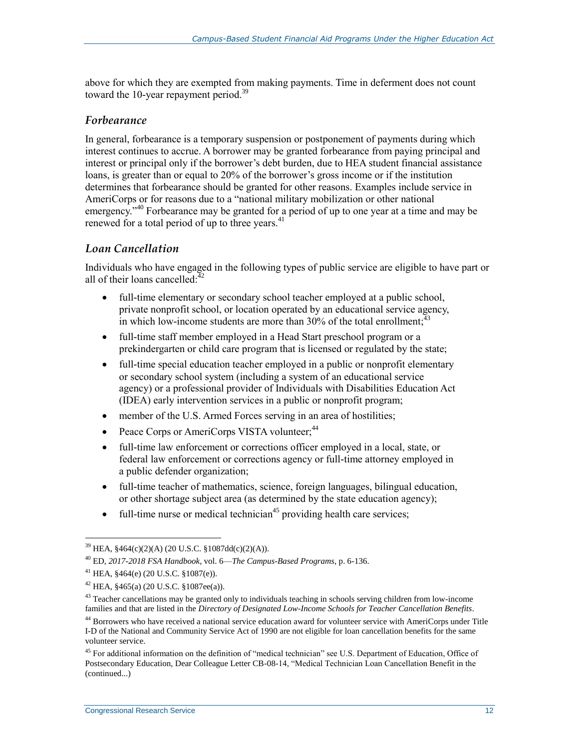above for which they are exempted from making payments. Time in deferment does not count toward the 10-year repayment period.<sup>39</sup>

#### *Forbearance*

In general, forbearance is a temporary suspension or postponement of payments during which interest continues to accrue. A borrower may be granted forbearance from paying principal and interest or principal only if the borrower's debt burden, due to HEA student financial assistance loans, is greater than or equal to 20% of the borrower's gross income or if the institution determines that forbearance should be granted for other reasons. Examples include service in AmeriCorps or for reasons due to a "national military mobilization or other national emergency."<sup>40</sup> Forbearance may be granted for a period of up to one year at a time and may be renewed for a total period of up to three years. $41$ 

#### *Loan Cancellation*

Individuals who have engaged in the following types of public service are eligible to have part or all of their loans cancelled: $42$ 

- full-time elementary or secondary school teacher employed at a public school, private nonprofit school, or location operated by an educational service agency, in which low-income students are more than  $30\%$  of the total enrollment;<sup>43</sup>
- full-time staff member employed in a Head Start preschool program or a prekindergarten or child care program that is licensed or regulated by the state;
- full-time special education teacher employed in a public or nonprofit elementary or secondary school system (including a system of an educational service agency) or a professional provider of Individuals with Disabilities Education Act (IDEA) early intervention services in a public or nonprofit program;
- member of the U.S. Armed Forces serving in an area of hostilities;
- Peace Corps or AmeriCorps VISTA volunteer;<sup>44</sup>
- full-time law enforcement or corrections officer employed in a local, state, or federal law enforcement or corrections agency or full-time attorney employed in a public defender organization;
- full-time teacher of mathematics, science, foreign languages, bilingual education, or other shortage subject area (as determined by the state education agency);
- $\bullet$  full-time nurse or medical technician<sup>45</sup> providing health care services;

<sup>&</sup>lt;sup>39</sup> HEA,  $$464(c)(2)(A)$  (20 U.S.C.  $$1087dd(c)(2)(A))$ .

<sup>40</sup> ED, *2017-2018 FSA Handbook*, vol. 6—*The Campus-Based Programs*, p. 6-136.

 $^{41}$  HEA,  $§464(e)$  (20 U.S.C.  $§1087(e)$ ).

 $42$  HEA,  $§465(a)$  (20 U.S.C.  $§1087ee(a)$ ).

<sup>&</sup>lt;sup>43</sup> Teacher cancellations may be granted only to individuals teaching in schools serving children from low-income families and that are listed in the *Directory of Designated Low-Income Schools for Teacher Cancellation Benefits*.

<sup>&</sup>lt;sup>44</sup> Borrowers who have received a national service education award for volunteer service with AmeriCorps under Title I-D of the National and Community Service Act of 1990 are not eligible for loan cancellation benefits for the same volunteer service.

<sup>&</sup>lt;sup>45</sup> For additional information on the definition of "medical technician" see U.S. Department of Education, Office of Postsecondary Education, Dear Colleague Letter CB-08-14, "Medical Technician Loan Cancellation Benefit in the (continued...)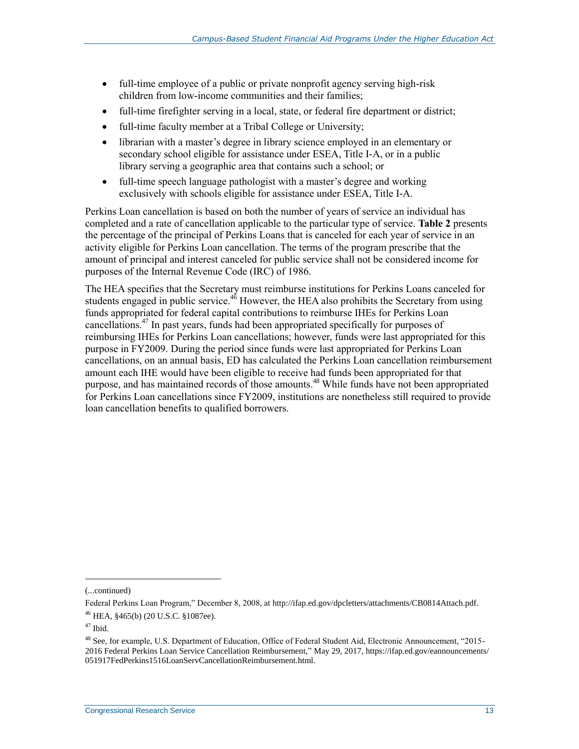- full-time employee of a public or private nonprofit agency serving high-risk children from low-income communities and their families;
- full-time firefighter serving in a local, state, or federal fire department or district;
- full-time faculty member at a Tribal College or University;
- librarian with a master's degree in library science employed in an elementary or secondary school eligible for assistance under ESEA, Title I-A, or in a public library serving a geographic area that contains such a school; or
- full-time speech language pathologist with a master's degree and working exclusively with schools eligible for assistance under ESEA, Title I-A.

Perkins Loan cancellation is based on both the number of years of service an individual has completed and a rate of cancellation applicable to the particular type of service. **[Table 2](#page-16-0)** presents the percentage of the principal of Perkins Loans that is canceled for each year of service in an activity eligible for Perkins Loan cancellation. The terms of the program prescribe that the amount of principal and interest canceled for public service shall not be considered income for purposes of the Internal Revenue Code (IRC) of 1986.

The HEA specifies that the Secretary must reimburse institutions for Perkins Loans canceled for students engaged in public service. $46$  However, the HEA also prohibits the Secretary from using funds appropriated for federal capital contributions to reimburse IHEs for Perkins Loan cancellations.<sup>47</sup> In past years, funds had been appropriated specifically for purposes of reimbursing IHEs for Perkins Loan cancellations; however, funds were last appropriated for this purpose in FY2009. During the period since funds were last appropriated for Perkins Loan cancellations, on an annual basis, ED has calculated the Perkins Loan cancellation reimbursement amount each IHE would have been eligible to receive had funds been appropriated for that purpose, and has maintained records of those amounts.<sup>48</sup> While funds have not been appropriated for Perkins Loan cancellations since FY2009, institutions are nonetheless still required to provide loan cancellation benefits to qualified borrowers.

<sup>(...</sup>continued)

Federal Perkins Loan Program," December 8, 2008, at http://ifap.ed.gov/dpcletters/attachments/CB0814Attach.pdf. <sup>46</sup> HEA, §465(b) (20 U.S.C. §1087ee).

<sup>47</sup> Ibid.

<sup>&</sup>lt;sup>48</sup> See, for example, U.S. Department of Education, Office of Federal Student Aid, Electronic Announcement, "2015-2016 Federal Perkins Loan Service Cancellation Reimbursement," May 29, 2017, https://ifap.ed.gov/eannouncements/ 051917FedPerkins1516LoanServCancellationReimbursement.html.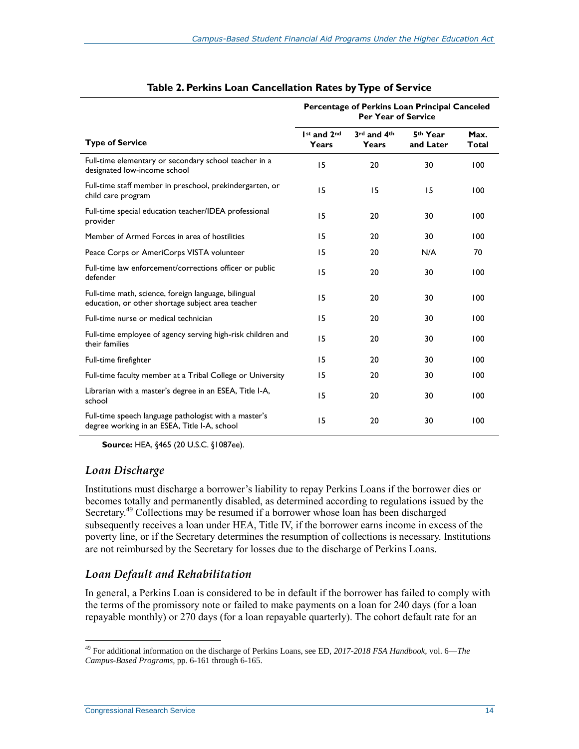<span id="page-16-0"></span>

|                                                                                                           | Percentage of Perkins Loan Principal Canceled<br><b>Per Year of Service</b> |                      |                       |                      |
|-----------------------------------------------------------------------------------------------------------|-----------------------------------------------------------------------------|----------------------|-----------------------|----------------------|
| <b>Type of Service</b>                                                                                    | 1st and 2nd<br>Years                                                        | 3rd and 4th<br>Years | 5th Year<br>and Later | Max.<br><b>Total</b> |
| Full-time elementary or secondary school teacher in a<br>designated low-income school                     | 15                                                                          | 20                   | 30                    | 100                  |
| Full-time staff member in preschool, prekindergarten, or<br>child care program                            | 15                                                                          | 15<br>15             |                       | 100                  |
| Full-time special education teacher/IDEA professional<br>provider                                         | 15                                                                          | 20                   | 30                    | 100                  |
| Member of Armed Forces in area of hostilities                                                             | 15                                                                          | 20                   | 30                    | 100                  |
| Peace Corps or AmeriCorps VISTA volunteer                                                                 | 15                                                                          | 20                   | N/A                   | 70                   |
| Full-time law enforcement/corrections officer or public<br>defender                                       | 15                                                                          | 20                   | 30                    | 100                  |
| Full-time math, science, foreign language, bilingual<br>education, or other shortage subject area teacher | 15                                                                          | 20                   | 30                    | 100                  |
| Full-time nurse or medical technician                                                                     | 15                                                                          | 20                   | 30                    | 100                  |
| Full-time employee of agency serving high-risk children and<br>their families                             | 15                                                                          | 20                   | 30                    | 100                  |
| Full-time firefighter                                                                                     | 15                                                                          | 20                   | 30                    | 100                  |
| Full-time faculty member at a Tribal College or University                                                | 15                                                                          | 20                   | 30                    | 100                  |
| Librarian with a master's degree in an ESEA, Title I-A,<br>school                                         | 15                                                                          | 20                   | 30                    | 100                  |
| Full-time speech language pathologist with a master's<br>degree working in an ESEA, Title I-A, school     | 15                                                                          | 20                   | 30                    | 100                  |

#### **Table 2. Perkins Loan Cancellation Rates by Type of Service**

**Source:** HEA, §465 (20 U.S.C. §1087ee).

#### *Loan Discharge*

Institutions must discharge a borrower's liability to repay Perkins Loans if the borrower dies or becomes totally and permanently disabled, as determined according to regulations issued by the Secretary.<sup>49</sup> Collections may be resumed if a borrower whose loan has been discharged subsequently receives a loan under HEA, Title IV, if the borrower earns income in excess of the poverty line, or if the Secretary determines the resumption of collections is necessary. Institutions are not reimbursed by the Secretary for losses due to the discharge of Perkins Loans.

#### *Loan Default and Rehabilitation*

In general, a Perkins Loan is considered to be in default if the borrower has failed to comply with the terms of the promissory note or failed to make payments on a loan for 240 days (for a loan repayable monthly) or 270 days (for a loan repayable quarterly). The cohort default rate for an

<sup>49</sup> For additional information on the discharge of Perkins Loans, see ED, *2017-2018 FSA Handbook,* vol. 6—*The Campus-Based Programs,* pp. 6-161 through 6-165.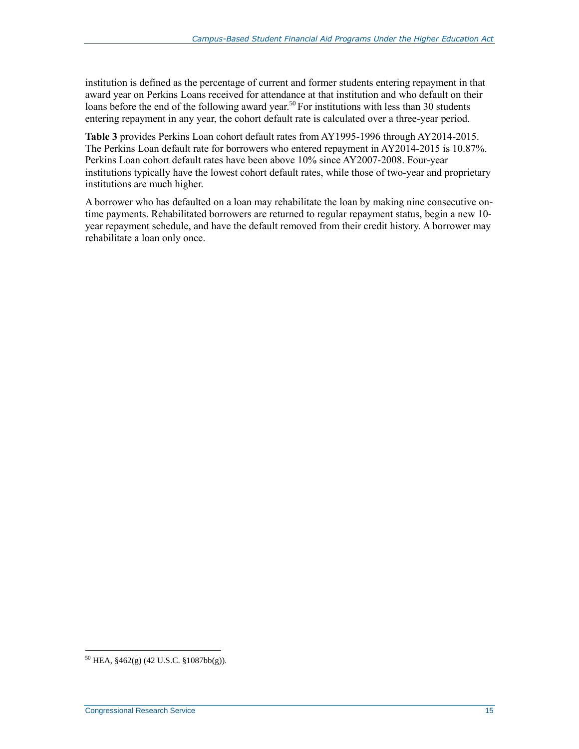institution is defined as the percentage of current and former students entering repayment in that award year on Perkins Loans received for attendance at that institution and who default on their loans before the end of the following award year.<sup>50</sup> For institutions with less than 30 students entering repayment in any year, the cohort default rate is calculated over a three-year period.

**[Table 3](#page-18-0)** provides Perkins Loan cohort default rates from AY1995-1996 through AY2014-2015. The Perkins Loan default rate for borrowers who entered repayment in AY2014-2015 is 10.87%. Perkins Loan cohort default rates have been above 10% since AY2007-2008. Four-year institutions typically have the lowest cohort default rates, while those of two-year and proprietary institutions are much higher.

A borrower who has defaulted on a loan may rehabilitate the loan by making nine consecutive ontime payments. Rehabilitated borrowers are returned to regular repayment status, begin a new 10 year repayment schedule, and have the default removed from their credit history. A borrower may rehabilitate a loan only once.

 $^{50}$  HEA,  $\S 462(g)$  (42 U.S.C.  $\S 1087bb(g)$ ).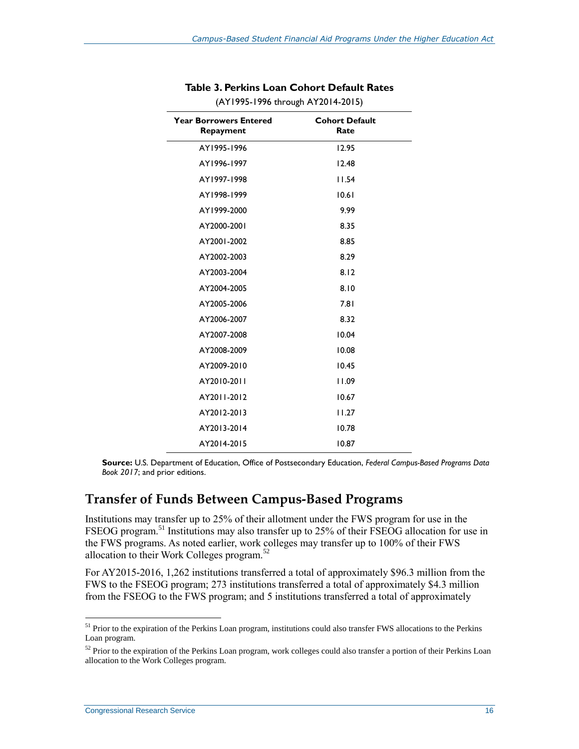<span id="page-18-0"></span>

| <b>Year Borrowers Entered</b><br>Repayment | <b>Cohort Default</b><br>Rate |
|--------------------------------------------|-------------------------------|
| AY1995-1996                                | 12.95                         |
| AY1996-1997                                | 12.48                         |
| AY1997-1998                                | 11.54                         |
| AY1998-1999                                | 10.61                         |
| AY1999-2000                                | 9.99                          |
| AY2000-2001                                | 8.35                          |
| AY2001-2002                                | 8.85                          |
| AY2002-2003                                | 8.29                          |
| AY2003-2004                                | 8.12                          |
| AY2004-2005                                | 8.10                          |
| AY2005-2006                                | 7.81                          |
| AY2006-2007                                | 8.32                          |
| AY2007-2008                                | 10.04                         |
| AY2008-2009                                | 10.08                         |
| AY2009-2010                                | 10.45                         |
| AY2010-2011                                | 11.09                         |
| AY2011-2012                                | 10.67                         |
| AY2012-2013                                | 11.27                         |
| AY2013-2014                                | 10.78                         |
| AY2014-2015                                | 10.87                         |

#### **Table 3. Perkins Loan Cohort Default Rates** (AY1995-1996 through AY2014-2015)

**Source:** U.S. Department of Education, Office of Postsecondary Education, *Federal Campus-Based Programs Data Book 2017*; and prior editions.

#### **Transfer of Funds Between Campus-Based Programs**

Institutions may transfer up to 25% of their allotment under the FWS program for use in the FSEOG program.<sup>51</sup> Institutions may also transfer up to 25% of their FSEOG allocation for use in the FWS programs. As noted earlier, work colleges may transfer up to 100% of their FWS allocation to their Work Colleges program.<sup>52</sup>

For AY2015-2016, 1,262 institutions transferred a total of approximately \$96.3 million from the FWS to the FSEOG program; 273 institutions transferred a total of approximately \$4.3 million from the FSEOG to the FWS program; and 5 institutions transferred a total of approximately

<sup>&</sup>lt;sup>51</sup> Prior to the expiration of the Perkins Loan program, institutions could also transfer FWS allocations to the Perkins Loan program.

<sup>&</sup>lt;sup>52</sup> Prior to the expiration of the Perkins Loan program, work colleges could also transfer a portion of their Perkins Loan allocation to the Work Colleges program.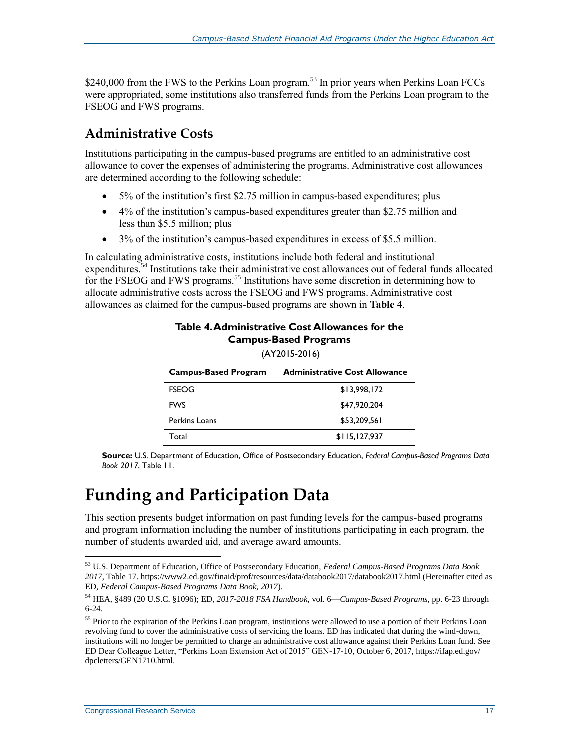\$240,000 from the FWS to the Perkins Loan program.<sup>53</sup> In prior years when Perkins Loan FCCs were appropriated, some institutions also transferred funds from the Perkins Loan program to the FSEOG and FWS programs.

### **Administrative Costs**

Institutions participating in the campus-based programs are entitled to an administrative cost allowance to cover the expenses of administering the programs. Administrative cost allowances are determined according to the following schedule:

- 5% of the institution's first \$2.75 million in campus-based expenditures; plus
- 4% of the institution's campus-based expenditures greater than \$2.75 million and less than \$5.5 million; plus
- 3% of the institution's campus-based expenditures in excess of \$5.5 million.

<span id="page-19-0"></span>In calculating administrative costs, institutions include both federal and institutional expenditures.<sup>54</sup> Institutions take their administrative cost allowances out of federal funds allocated for the FSEOG and FWS programs.<sup>55</sup> Institutions have some discretion in determining how to allocate administrative costs across the FSEOG and FWS programs. Administrative cost allowances as claimed for the campus-based programs are shown in **[Table 4](#page-19-0)**.

| $(AI ZUI 5-ZUI 6)$          |                                      |  |  |
|-----------------------------|--------------------------------------|--|--|
| <b>Campus-Based Program</b> | <b>Administrative Cost Allowance</b> |  |  |
| <b>FSEOG</b>                | \$13,998,172                         |  |  |
| <b>FWS</b>                  | \$47,920,204                         |  |  |
| Perkins Loans               | \$53,209,561                         |  |  |
| Total                       | \$115,127,937                        |  |  |

#### **Table 4. Administrative Cost Allowances for the Campus-Based Programs**  $(AY2015.2016)$

**Source:** U.S. Department of Education, Office of Postsecondary Education, *Federal Campus-Based Programs Data Book 2017*, Table 11.

## **Funding and Participation Data**

This section presents budget information on past funding levels for the campus-based programs and program information including the number of institutions participating in each program, the number of students awarded aid, and average award amounts.

<sup>53</sup> U.S. Department of Education, Office of Postsecondary Education, *Federal Campus-Based Programs Data Book 2017*, Table 17. https://www2.ed.gov/finaid/prof/resources/data/databook2017/databook2017.html (Hereinafter cited as ED, *Federal Campus-Based Programs Data Book, 2017*).

<sup>54</sup> HEA, §489 (20 U.S.C. §1096); ED, *2017-2018 FSA Handbook*, vol. 6—*Campus-Based Programs*, pp. 6-23 through 6-24.

<sup>&</sup>lt;sup>55</sup> Prior to the expiration of the Perkins Loan program, institutions were allowed to use a portion of their Perkins Loan revolving fund to cover the administrative costs of servicing the loans. ED has indicated that during the wind-down, institutions will no longer be permitted to charge an administrative cost allowance against their Perkins Loan fund. See ED Dear Colleague Letter, "Perkins Loan Extension Act of 2015" GEN-17-10, October 6, 2017, https://ifap.ed.gov/ dpcletters/GEN1710.html.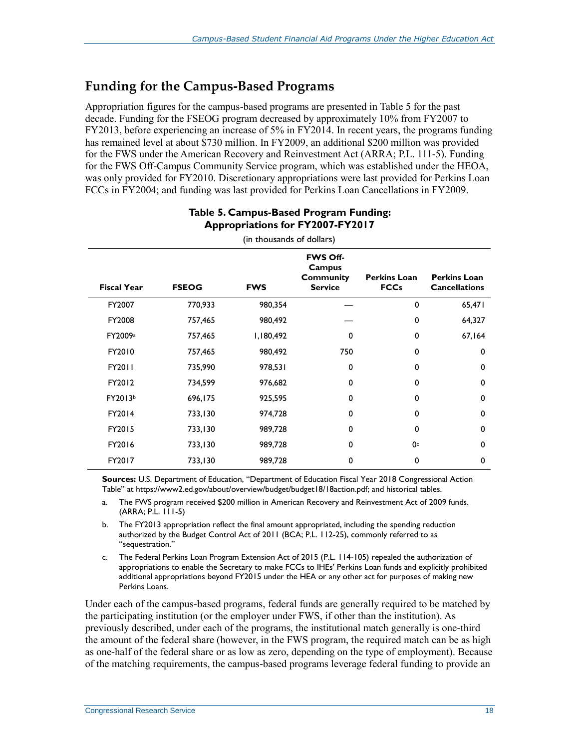### **Funding for the Campus-Based Programs**

Appropriation figures for the campus-based programs are presented in [Table 5](#page-20-0) for the past decade. Funding for the FSEOG program decreased by approximately 10% from FY2007 to FY2013, before experiencing an increase of 5% in FY2014. In recent years, the programs funding has remained level at about \$730 million. In FY2009, an additional \$200 million was provided for the FWS under the American Recovery and Reinvestment Act (ARRA; P.L. 111-5). Funding for the FWS Off-Campus Community Service program, which was established under the HEOA, was only provided for FY2010. Discretionary appropriations were last provided for Perkins Loan FCCs in FY2004; and funding was last provided for Perkins Loan Cancellations in FY2009.

<span id="page-20-0"></span>

| (in thousands of dollars) |              |            |                                                                 |                                    |                                             |
|---------------------------|--------------|------------|-----------------------------------------------------------------|------------------------------------|---------------------------------------------|
| <b>Fiscal Year</b>        | <b>FSEOG</b> | <b>FWS</b> | <b>FWS Off-</b><br>Campus<br><b>Community</b><br><b>Service</b> | <b>Perkins Loan</b><br><b>FCCs</b> | <b>Perkins Loan</b><br><b>Cancellations</b> |
| FY2007                    | 770,933      | 980,354    |                                                                 | 0                                  | 65,471                                      |
| FY2008                    | 757,465      | 980,492    |                                                                 | 0                                  | 64,327                                      |
| FY2009a                   | 757,465      | 1,180,492  | 0                                                               | 0                                  | 67,164                                      |
| FY2010                    | 757,465      | 980,492    | 750                                                             | 0                                  | 0                                           |
| FY2011                    | 735,990      | 978,531    | 0                                                               | 0                                  | 0                                           |
| FY2012                    | 734,599      | 976,682    | $\Omega$                                                        | $\Omega$                           | 0                                           |
| FY2013b                   | 696,175      | 925,595    | 0                                                               | $\mathbf 0$                        | 0                                           |
| FY2014                    | 733,130      | 974,728    | $\Omega$                                                        | $\Omega$                           | 0                                           |
| FY2015                    | 733,130      | 989,728    | 0                                                               | 0                                  | 0                                           |
| FY2016                    | 733,130      | 989,728    | $\Omega$                                                        | 0c                                 | 0                                           |
| FY2017                    | 733,130      | 989,728    | 0                                                               | 0                                  | 0                                           |

#### **Table 5. Campus-Based Program Funding: Appropriations for FY2007-FY2017**

**Sources:** U.S. Department of Education, "Department of Education Fiscal Year 2018 Congressional Action Table" at https://www2.ed.gov/about/overview/budget/budget18/18action.pdf; and historical tables.

- <span id="page-20-1"></span>a. The FWS program received \$200 million in American Recovery and Reinvestment Act of 2009 funds. (ARRA; P.L. 111-5)
- <span id="page-20-2"></span>b. The FY2013 appropriation reflect the final amount appropriated, including the spending reduction authorized by the Budget Control Act of 2011 (BCA; P.L. 112-25), commonly referred to as "sequestration."
- <span id="page-20-3"></span>c. The Federal Perkins Loan Program Extension Act of 2015 (P.L. 114-105) repealed the authorization of appropriations to enable the Secretary to make FCCs to IHEs' Perkins Loan funds and explicitly prohibited additional appropriations beyond FY2015 under the HEA or any other act for purposes of making new Perkins Loans.

Under each of the campus-based programs, federal funds are generally required to be matched by the participating institution (or the employer under FWS, if other than the institution). As previously described, under each of the programs, the institutional match generally is one-third the amount of the federal share (however, in the FWS program, the required match can be as high as one-half of the federal share or as low as zero, depending on the type of employment). Because of the matching requirements, the campus-based programs leverage federal funding to provide an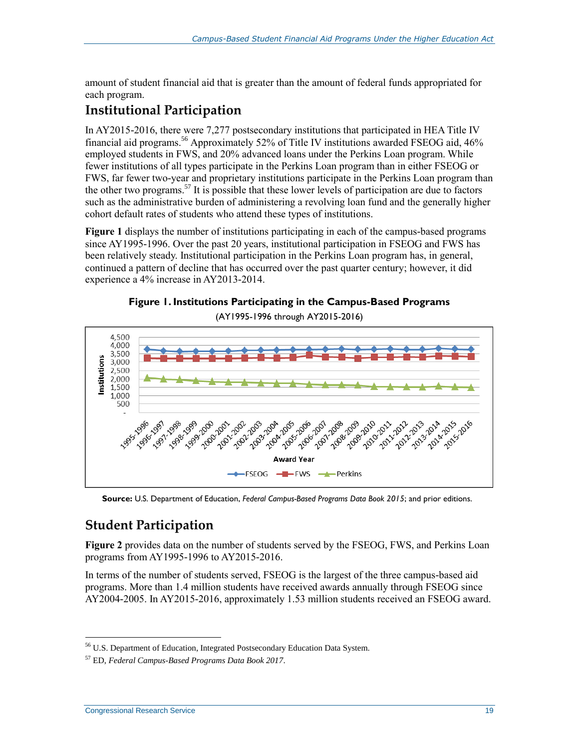amount of student financial aid that is greater than the amount of federal funds appropriated for each program.

### **Institutional Participation**

In AY2015-2016, there were 7,277 postsecondary institutions that participated in HEA Title IV financial aid programs.<sup>56</sup> Approximately 52% of Title IV institutions awarded FSEOG aid, 46% employed students in FWS, and 20% advanced loans under the Perkins Loan program. While fewer institutions of all types participate in the Perkins Loan program than in either FSEOG or FWS, far fewer two-year and proprietary institutions participate in the Perkins Loan program than the other two programs.<sup>57</sup> It is possible that these lower levels of participation are due to factors such as the administrative burden of administering a revolving loan fund and the generally higher cohort default rates of students who attend these types of institutions.

**[Figure 1](#page-21-0)** displays the number of institutions participating in each of the campus-based programs since AY1995-1996. Over the past 20 years, institutional participation in FSEOG and FWS has been relatively steady. Institutional participation in the Perkins Loan program has, in general, continued a pattern of decline that has occurred over the past quarter century; however, it did experience a 4% increase in AY2013-2014.



(AY1995-1996 through AY2015-2016)

<span id="page-21-0"></span>

**Source:** U.S. Department of Education, *Federal Campus-Based Programs Data Book 2015*; and prior editions.

### **Student Participation**

**[Figure 2](#page-23-0)** provides data on the number of students served by the FSEOG, FWS, and Perkins Loan programs from AY1995-1996 to AY2015-2016.

In terms of the number of students served, FSEOG is the largest of the three campus-based aid programs. More than 1.4 million students have received awards annually through FSEOG since AY2004-2005. In AY2015-2016, approximately 1.53 million students received an FSEOG award.

<sup>56</sup> U.S. Department of Education, Integrated Postsecondary Education Data System.

<sup>57</sup> ED, *Federal Campus-Based Programs Data Book 2017*.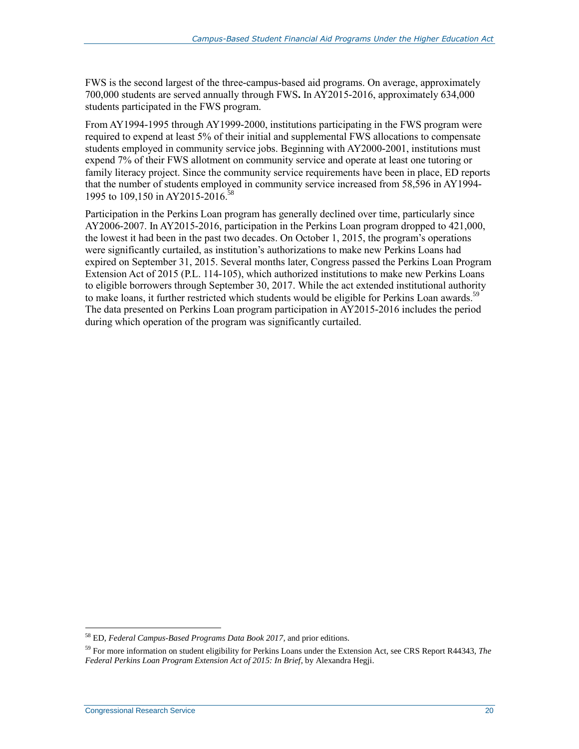FWS is the second largest of the three-campus-based aid programs. On average, approximately 700,000 students are served annually through FWS**.** In AY2015-2016, approximately 634,000 students participated in the FWS program.

From AY1994-1995 through AY1999-2000, institutions participating in the FWS program were required to expend at least 5% of their initial and supplemental FWS allocations to compensate students employed in community service jobs. Beginning with AY2000-2001, institutions must expend 7% of their FWS allotment on community service and operate at least one tutoring or family literacy project. Since the community service requirements have been in place, ED reports that the number of students employed in community service increased from 58,596 in AY1994- 1995 to 109,150 in AY2015-2016. 58

Participation in the Perkins Loan program has generally declined over time, particularly since AY2006-2007. In AY2015-2016, participation in the Perkins Loan program dropped to 421,000, the lowest it had been in the past two decades. On October 1, 2015, the program's operations were significantly curtailed, as institution's authorizations to make new Perkins Loans had expired on September 31, 2015. Several months later, Congress passed the Perkins Loan Program Extension Act of 2015 (P.L. 114-105), which authorized institutions to make new Perkins Loans to eligible borrowers through September 30, 2017. While the act extended institutional authority to make loans, it further restricted which students would be eligible for Perkins Loan awards.<sup>59</sup> The data presented on Perkins Loan program participation in AY2015-2016 includes the period during which operation of the program was significantly curtailed.

<sup>58</sup> ED, *Federal Campus-Based Programs Data Book 2017,* and prior editions.

<sup>59</sup> For more information on student eligibility for Perkins Loans under the Extension Act, see CRS Report R44343, *The Federal Perkins Loan Program Extension Act of 2015: In Brief*, by Alexandra Hegji.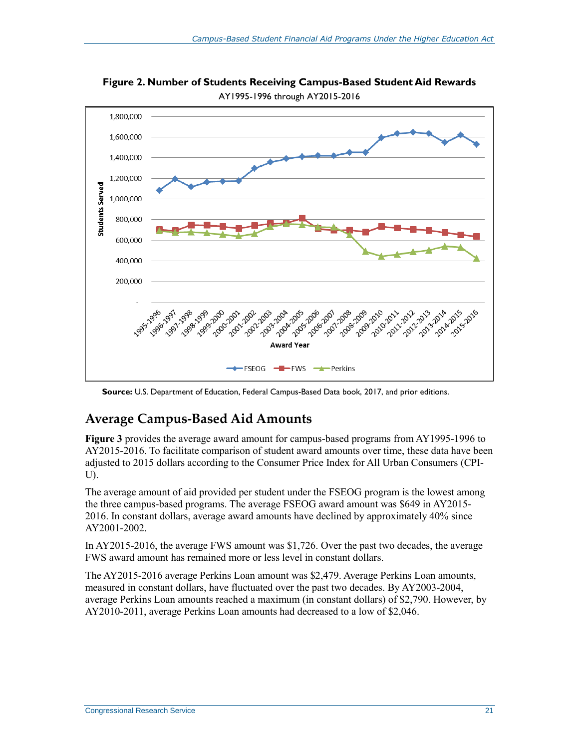

<span id="page-23-0"></span>**Figure 2. Number of Students Receiving Campus-Based Student Aid Rewards** AY1995-1996 through AY2015-2016

**Source:** U.S. Department of Education, Federal Campus-Based Data book, 2017, and prior editions.

### **Average Campus-Based Aid Amounts**

**[Figure 3](#page-24-0)** provides the average award amount for campus-based programs from AY1995-1996 to AY2015-2016. To facilitate comparison of student award amounts over time, these data have been adjusted to 2015 dollars according to the Consumer Price Index for All Urban Consumers (CPI-U).

The average amount of aid provided per student under the FSEOG program is the lowest among the three campus-based programs. The average FSEOG award amount was \$649 in AY2015- 2016. In constant dollars, average award amounts have declined by approximately 40% since AY2001-2002.

In AY2015-2016, the average FWS amount was \$1,726. Over the past two decades, the average FWS award amount has remained more or less level in constant dollars.

The AY2015-2016 average Perkins Loan amount was \$2,479. Average Perkins Loan amounts, measured in constant dollars, have fluctuated over the past two decades. By AY2003-2004, average Perkins Loan amounts reached a maximum (in constant dollars) of \$2,790. However, by AY2010-2011, average Perkins Loan amounts had decreased to a low of \$2,046.